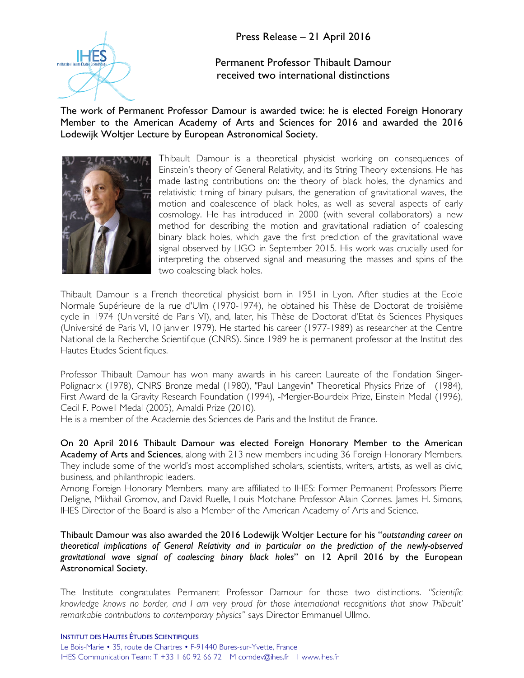

Permanent Professor Thibault Damour received two international distinctions

The work of Permanent Professor Damour is awarded twice: he is elected Foreign Honorary Member to the American Academy of Arts and Sciences for 2016 and awarded the 2016 Lodewijk Woltjer Lecture by European Astronomical Society.



Thibault Damour is a theoretical physicist working on consequences of Einstein's theory of General Relativity, and its String Theory extensions. He has made lasting contributions on: the theory of black holes, the dynamics and relativistic timing of binary pulsars, the generation of gravitational waves, the motion and coalescence of black holes, as well as several aspects of early cosmology. He has introduced in 2000 (with several collaborators) a new method for describing the motion and gravitational radiation of coalescing binary black holes, which gave the first prediction of the gravitational wave signal observed by LIGO in September 2015. His work was crucially used for interpreting the observed signal and measuring the masses and spins of the two coalescing black holes.

Thibault Damour is a French theoretical physicist born in 1951 in Lyon. After studies at the Ecole Normale Supérieure de la rue d'Ulm (1970-1974), he obtained his Thèse de Doctorat de troisième cycle in 1974 (Université de Paris VI), and, later, his Thèse de Doctorat d'Etat ès Sciences Physiques (Université de Paris VI, 10 janvier 1979). He started his career (1977-1989) as researcher at the Centre National de la Recherche Scientifique (CNRS). Since 1989 he is permanent professor at the Institut des Hautes Etudes Scientifiques.

Professor Thibault Damour has won many awards in his career: Laureate of the Fondation Singer-Polignacrix (1978), CNRS Bronze medal (1980), "Paul Langevin" Theoretical Physics Prize of (1984), First Award de la Gravity Research Foundation (1994), -Mergier-Bourdeix Prize, Einstein Medal (1996), Cecil F. Powell Medal (2005), Amaldi Prize (2010).

He is a member of the Academie des Sciences de Paris and the Institut de France.

On 20 April 2016 Thibault Damour was elected Foreign Honorary Member to the American Academy of Arts and Sciences, along with 213 new members including 36 Foreign Honorary Members. They include some of the world's most accomplished scholars, scientists, writers, artists, as well as civic, business, and philanthropic leaders.

Among Foreign Honorary Members, many are affiliated to IHES: Former Permanent Professors Pierre Deligne, Mikhail Gromov, and David Ruelle, Louis Motchane Professor Alain Connes. James H. Simons, IHES Director of the Board is also a Member of the American Academy of Arts and Science.

Thibault Damour was also awarded the 2016 Lodewijk Woltjer Lecture for his "*outstanding career on theoretical implications of General Relativity and in particular on the prediction of the newly-observed gravitational wave signal of coalescing binary black holes*" on 12 April 2016 by the European Astronomical Society.

The Institute congratulates Permanent Professor Damour for those two distinctions. *"Scientific knowledge knows no border, and I am very proud for those international recognitions that show Thibault' remarkable contributions to contemporary physics"* says Director Emmanuel Ullmo.